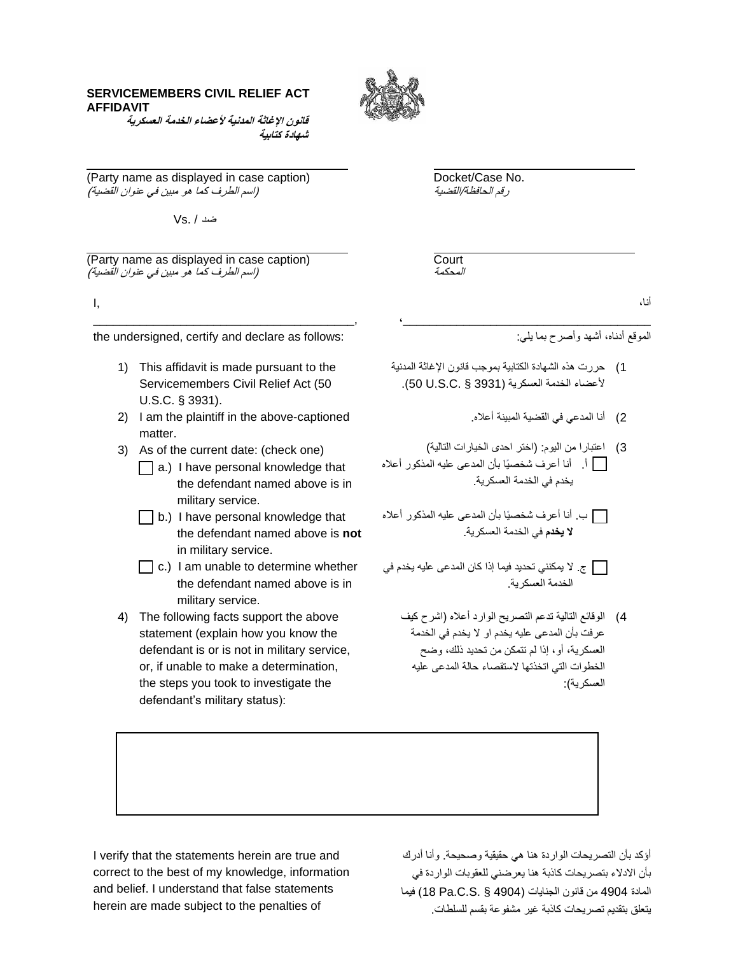## **SERVICEMEMBERS CIVIL RELIEF ACT AFFIDAVIT**



قانون الإغاثة المدنية لأعضاء الخدمة العسكرية **شهادة كتابية** 

(Party name as displayed in case caption) Docket/Case No. رقم الحافظة/القضية ) اسم الطرف كما هو مبين في عنوان القضية)

ضد / .Vs

(Party name as displayed in case caption) Court )اسم الطرف كما هو مبين في عنوان القضية(

I,

the undersigned, certify and declare as follows:

\_\_\_\_\_\_\_\_\_\_\_\_\_\_\_\_\_\_\_\_\_\_\_\_\_\_\_\_\_\_\_\_\_\_\_\_\_\_\_,

- 1) This affidavit is made pursuant to the Servicemembers Civil Relief Act (50 U.S.C. § 3931).
- 2) I am the plaintiff in the above-captioned matter.
- 3) As of the current date: (check one)
	- $\Box$  a.) I have personal knowledge that the defendant named above is in military service.
	- $\Box$  b.) I have personal knowledge that the defendant named above is **not**  in military service.
	- $\Box$  c.) I am unable to determine whether the defendant named above is in military service.
- 4) The following facts support the above statement (explain how you know the defendant is or is not in military service, or, if unable to make a determination, the steps you took to investigate the defendant's military status):

المحكمة

أنا،

الموقع أدناه، أشهد وأصرح بما يلي:

1) حررت هذه الشهادة الكتابية بموجب قانون الإغاثة المدنية لأعضاء الخدمة العسكرية (3931 \$ .50 U.S.C.).

 $\mathcal{L}_\text{max}$  , which is a set of the set of the set of the set of the set of the set of the set of the set of the set of the set of the set of the set of the set of the set of the set of the set of the set of the set of

- 2) أنا المدعى في القضية المبينة أعلاه.
- 3) اعتبارا من اليوم: (اختر احدى الخيارات التالية) أ. أنا أعرف شخص يا بأن المدعى عليه المذكور أعاله يخدم في الخدمة العسكرية.

 ب. أنا أعرف شخص يا بأن المدعى عليه المذكور أعاله **ال يخدم** في الخدمة العسكرية.

 ج. ال يمكنني تحديد فيما إذا كان المدعى عليه يخدم في الخدمة العسكرية.

4) الوقائع التالية تدعم التصريح الوارد أعلاه (اشرح كيف عرفت بأن المدعى عليه يخدم او ال يخدم في الخدمة العسكرية، أو، إذا لم تتمكن من تحديد ذلك، وضح الخطوات التي اتخذتها الستقصاء حالة المدعى عليه العسكرية):

I verify that the statements herein are true and correct to the best of my knowledge, information and belief. I understand that false statements herein are made subject to the penalties of

أؤكد بأن التصريحات الواردة هنا هي حقيقية وصحيحة. وأنا أدرك بأن االدالء بتصريحات كاذبة هنا يعرضني للعقوبات الواردة في المادة 4904 من قانون الجنايات )4904 § .S.C.Pa 18 )فيما يتعلق بتقديم تصريحات كاذبة غير مشفوعة بقسم للسلطات.